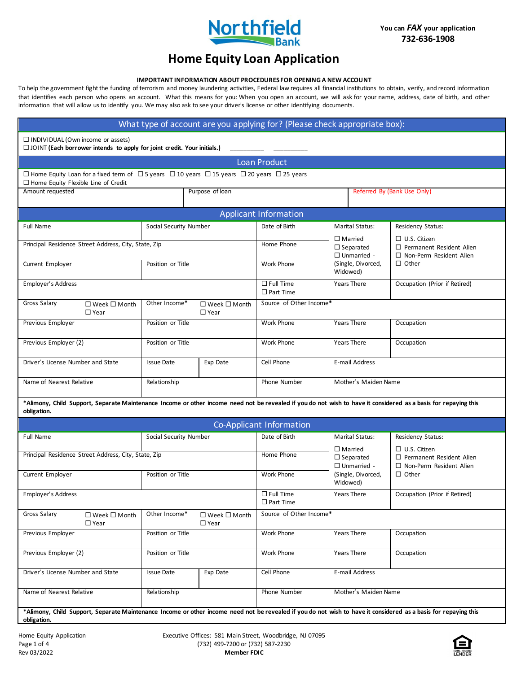

#### **IMPORTANT INFORMATION ABOUT PROCEDURES FOR OPENING A NEW ACCOUNT**

To help the government fight the funding of terrorism and money laundering activities, Federal law requires all financial institutions to obtain, verify, and record information that identifies each person who opens an account. What this means for you: When you open an account, we will ask for your name, address, date of birth, and other information that will allow us to identify you. We may also ask to see your driver's license or other identifying documents.

| What type of account are you applying for? (Please check appropriate box):                                                                                                     |                        |                                               |                                      |                                                          |                                                                                          |
|--------------------------------------------------------------------------------------------------------------------------------------------------------------------------------|------------------------|-----------------------------------------------|--------------------------------------|----------------------------------------------------------|------------------------------------------------------------------------------------------|
| $\Box$ INDIVIDUAL (Own income or assets)<br>$\Box$ JOINT (Each borrower intends to apply for joint credit. Your initials.)                                                     |                        |                                               |                                      |                                                          |                                                                                          |
|                                                                                                                                                                                |                        |                                               | <b>Loan Product</b>                  |                                                          |                                                                                          |
| $\Box$ Home Equity Loan for a fixed term of $\Box$ 5 years $\Box$ 10 years $\Box$ 15 years $\Box$ 20 years $\Box$ 25 years<br>$\Box$ Home Equity Flexible Line of Credit       |                        |                                               |                                      |                                                          |                                                                                          |
| Amount requested                                                                                                                                                               |                        | Purpose of loan                               |                                      |                                                          | Referred By (Bank Use Only)                                                              |
|                                                                                                                                                                                |                        |                                               | <b>Applicant Information</b>         |                                                          |                                                                                          |
| <b>Full Name</b>                                                                                                                                                               | Social Security Number |                                               | Date of Birth                        | Marital Status:                                          | Residency Status:                                                                        |
| Principal Residence Street Address, City, State, Zip                                                                                                                           |                        |                                               | Home Phone                           | $\Box$ Married<br>$\Box$ Separated<br>$\Box$ Unmarried - | $\Box$ U.S. Citizen<br>$\Box$ Permanent Resident Alien<br>$\Box$ Non-Perm Resident Alien |
| Current Employer                                                                                                                                                               | Position or Title      |                                               | <b>Work Phone</b>                    | (Single, Divorced,<br>Widowed)                           | $\Box$ Other                                                                             |
| Employer's Address                                                                                                                                                             |                        |                                               | $\Box$ Full Time<br>$\Box$ Part Time | <b>Years There</b>                                       | Occupation (Prior if Retired)                                                            |
| Gross Salary<br>$\square$ Week $\square$ Month<br>$\Box$ Year                                                                                                                  | Other Income*          | $\square$ Week $\square$ Month<br>$\Box$ Year | Source of Other Income*              |                                                          |                                                                                          |
| Previous Employer                                                                                                                                                              | Position or Title      |                                               | Work Phone                           | <b>Years There</b>                                       | Occupation                                                                               |
| Previous Employer (2)                                                                                                                                                          | Position or Title      |                                               | Work Phone                           | <b>Years There</b>                                       | Occupation                                                                               |
| Driver's License Number and State                                                                                                                                              | <b>Issue Date</b>      | Exp Date                                      | Cell Phone                           | E-mail Address                                           |                                                                                          |
| Name of Nearest Relative                                                                                                                                                       | Relationship           |                                               | Phone Number                         | Mother's Maiden Name                                     |                                                                                          |
| *Alimony, Child Support, Separate Maintenance Income or other income need not be revealed if you do not wish to have it considered as a basis for repaying this<br>obligation. |                        |                                               |                                      |                                                          |                                                                                          |
|                                                                                                                                                                                |                        |                                               | Co-Applicant Information             |                                                          |                                                                                          |
| <b>Full Name</b>                                                                                                                                                               | Social Security Number |                                               | Date of Birth                        | Marital Status:                                          | Residency Status:                                                                        |
| Principal Residence Street Address, City, State, Zip                                                                                                                           |                        |                                               | Home Phone                           | $\Box$ Married<br>$\Box$ Separated<br>$\Box$ Unmarried - | $\Box$ U.S. Citizen<br>$\Box$ Permanent Resident Alien<br>$\Box$ Non-Perm Resident Alien |
| Current Employer                                                                                                                                                               | Position or Title      |                                               | Work Phone                           | (Single, Divorced,<br>Widowed)                           | $\Box$ Other                                                                             |
| Employer's Address                                                                                                                                                             |                        |                                               | $\Box$ Full Time<br>$\Box$ Part Time | <b>Years There</b>                                       | Occupation (Prior if Retired)                                                            |
| Gross Salary<br>$\square$ Week $\square$ Month<br>$\Box$ Year                                                                                                                  | Other Income*          | $\Box$ Week $\Box$ Month<br>$\square$ Year    | Source of Other Income*              |                                                          |                                                                                          |
| Previous Employer                                                                                                                                                              | Position or Title      |                                               | Work Phone                           | Years There                                              | Occupation                                                                               |
| Previous Employer (2)                                                                                                                                                          | Position or Title      |                                               | Work Phone                           | <b>Years There</b>                                       | Occupation                                                                               |
| Driver's License Number and State                                                                                                                                              | <b>Issue Date</b>      | Exp Date                                      | Cell Phone                           | E-mail Address                                           |                                                                                          |
| Name of Nearest Relative                                                                                                                                                       | Relationship           |                                               | Phone Number                         | Mother's Maiden Name                                     |                                                                                          |
| *Alimony, Child Support, Separate Maintenance Income or other income need not be revealed if you do not wish to have it considered as a basis for repaying this<br>obligation. |                        |                                               |                                      |                                                          |                                                                                          |

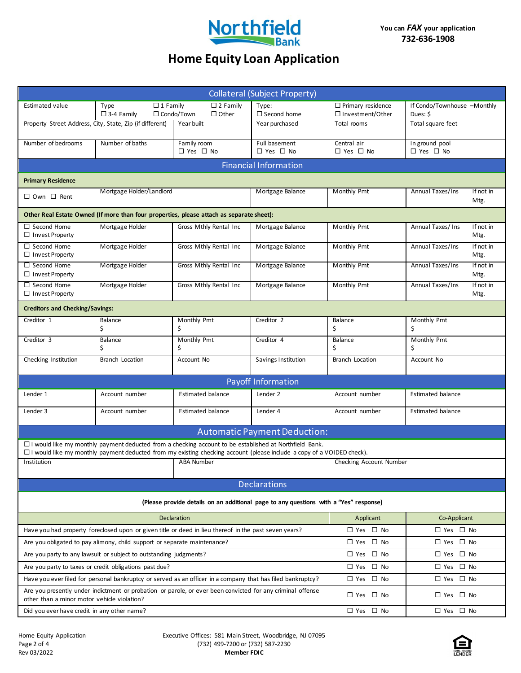

| <b>Collateral (Subject Property)</b>         |                                                                                                                                                                                                                                               |                                                                                       |                                       |                                                     |                                         |
|----------------------------------------------|-----------------------------------------------------------------------------------------------------------------------------------------------------------------------------------------------------------------------------------------------|---------------------------------------------------------------------------------------|---------------------------------------|-----------------------------------------------------|-----------------------------------------|
| <b>Estimated value</b>                       | $\Box$ 1 Family<br>Type<br>$\Box$ 3-4 Family                                                                                                                                                                                                  | $\Box$ 2 Family<br>$\Box$ Other<br>$\Box$ Condo/Town                                  | Type:<br>$\Box$ Second home           | $\Box$ Primary residence<br>$\Box$ Investment/Other | If Condo/Townhouse -Monthly<br>Dues: \$ |
|                                              | Property Street Address, City, State, Zip (if different)                                                                                                                                                                                      | Year built                                                                            | Year purchased                        | Total rooms                                         | Total square feet                       |
| Number of bedrooms                           | Number of baths                                                                                                                                                                                                                               | Family room<br>$\Box$ Yes $\Box$ No                                                   | Full basement<br>$\Box$ Yes $\Box$ No | Central air<br>$\Box$ Yes $\Box$ No                 | In ground pool<br>$\Box$ Yes $\Box$ No  |
|                                              |                                                                                                                                                                                                                                               |                                                                                       | <b>Financial Information</b>          |                                                     |                                         |
| <b>Primary Residence</b>                     |                                                                                                                                                                                                                                               |                                                                                       |                                       |                                                     |                                         |
| $\Box$ Own $\Box$ Rent                       | Mortgage Holder/Landlord                                                                                                                                                                                                                      |                                                                                       | Mortgage Balance                      | Monthly Pmt                                         | Annual Taxes/Ins<br>If not in<br>Mtg.   |
|                                              | Other Real Estate Owned (If more than four properties, please attach as separate sheet):                                                                                                                                                      |                                                                                       |                                       |                                                     |                                         |
| $\Box$ Second Home<br>$\Box$ Invest Property | Mortgage Holder                                                                                                                                                                                                                               | Gross Mthly Rental Inc                                                                | Mortgage Balance                      | Monthly Pmt                                         | Annual Taxes/Ins<br>If not in<br>Mtg.   |
| $\Box$ Second Home<br>$\Box$ Invest Property | Mortgage Holder                                                                                                                                                                                                                               | Gross Mthly Rental Inc                                                                | Mortgage Balance                      | Monthly Pmt                                         | Annual Taxes/Ins<br>If not in<br>Mtg.   |
| $\Box$ Second Home<br>$\Box$ Invest Property | Mortgage Holder                                                                                                                                                                                                                               | Gross Mthly Rental Inc                                                                | Mortgage Balance                      | Monthly Pmt                                         | Annual Taxes/Ins<br>If not in<br>Mtg.   |
| $\Box$ Second Home<br>$\Box$ Invest Property | Mortgage Holder                                                                                                                                                                                                                               | Gross Mthly Rental Inc                                                                | Mortgage Balance                      | Monthly Pmt                                         | Annual Taxes/Ins<br>If not in<br>Mtg.   |
| <b>Creditors and Checking/Savings:</b>       |                                                                                                                                                                                                                                               |                                                                                       |                                       |                                                     |                                         |
| Creditor 1                                   | Balance<br>\$                                                                                                                                                                                                                                 | Monthly Pmt<br>\$                                                                     | Creditor <sub>2</sub>                 | Balance<br>\$                                       | Monthly Pmt<br>\$                       |
| Creditor 3                                   | Balance<br>\$                                                                                                                                                                                                                                 | Monthly Pmt<br>\$                                                                     | Creditor 4                            | Balance<br>\$                                       | Monthly Pmt<br>Ś                        |
| Checking Institution                         | Branch Location                                                                                                                                                                                                                               | Account No                                                                            | Savings Institution                   | Branch Location                                     | Account No                              |
|                                              |                                                                                                                                                                                                                                               |                                                                                       | Payoff Information                    |                                                     |                                         |
| Lender 1                                     | Account number                                                                                                                                                                                                                                | <b>Estimated balance</b>                                                              | Lender <sub>2</sub>                   | Account number                                      | <b>Estimated balance</b>                |
| Lender 3                                     | Account number                                                                                                                                                                                                                                | <b>Estimated balance</b>                                                              | Lender 4                              | Account number                                      | <b>Estimated balance</b>                |
|                                              |                                                                                                                                                                                                                                               |                                                                                       | Automatic Payment Deduction:          |                                                     |                                         |
|                                              | $\Box$ I would like my monthly payment deducted from a checking account to be established at Northfield Bank.<br>$\Box$ I would like my monthly payment deducted from my existing checking account (please include a copy of a VOIDED check). |                                                                                       |                                       |                                                     |                                         |
| Institution                                  |                                                                                                                                                                                                                                               | <b>ABA Number</b>                                                                     |                                       | Checking Account Number                             |                                         |
|                                              |                                                                                                                                                                                                                                               |                                                                                       | <b>Declarations</b>                   |                                                     |                                         |
|                                              |                                                                                                                                                                                                                                               | (Please provide details on an additional page to any questions with a "Yes" response) |                                       |                                                     |                                         |
|                                              |                                                                                                                                                                                                                                               | Declaration                                                                           |                                       | Applicant                                           | Co-Applicant                            |
|                                              | Have you had property foreclosed upon or given title or deed in lieu thereof in the past seven years?                                                                                                                                         |                                                                                       |                                       | $\Box$ Yes $\Box$ No                                | $\Box$ Yes $\Box$ No                    |
|                                              | Are you obligated to pay alimony, child support or separate maintenance?                                                                                                                                                                      |                                                                                       |                                       | $\Box$ Yes $\Box$ No                                | $\Box$ Yes $\Box$ No                    |
|                                              | Are you party to any lawsuit or subject to outstanding judgments?                                                                                                                                                                             |                                                                                       |                                       | □ Yes □ No                                          | $\square$ Yes $\square$ No              |
|                                              | Are you party to taxes or credit obligations past due?                                                                                                                                                                                        |                                                                                       |                                       | $\Box$ Yes $\Box$ No                                | □ Yes □ No                              |
|                                              | Have you ever filed for personal bankruptcy or served as an officer in a company that has filed bankruptcy?                                                                                                                                   |                                                                                       |                                       | $\Box$ Yes $\Box$ No                                | □ Yes □ No                              |
| other than a minor motor vehicle violation?  | Are you presently under indictment or probation or parole, or ever been convicted for any criminal offense                                                                                                                                    |                                                                                       |                                       | $\Box$ Yes $\Box$ No                                | □ Yes □ No                              |
| Did you ever have credit in any other name?  |                                                                                                                                                                                                                                               |                                                                                       |                                       | □ Yes □ No                                          | □ Yes □ No                              |

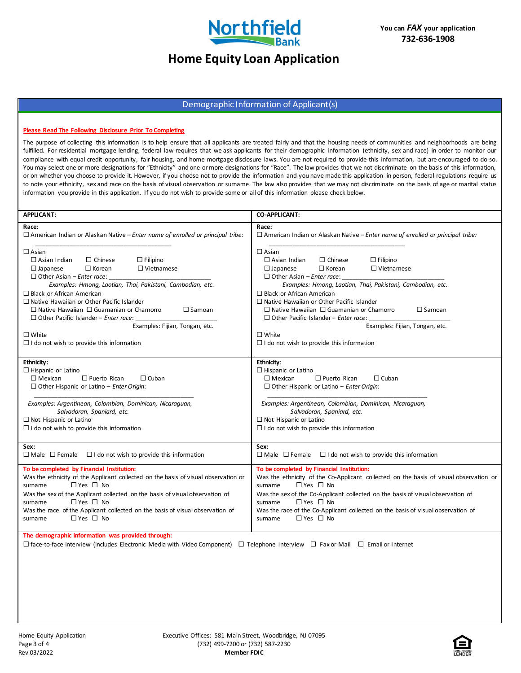

#### Demographic Information of Applicant(s)

#### **Please Read The Following Disclosure Prior To Completing**

The purpose of collecting this information is to help ensure that all applicants are treated fairly and that the housing needs of communities and neighborhoods are being fulfilled. For residential mortgage lending, federal law requires that we ask applicants for their demographic information (ethnicity, sex and race) in order to monitor our compliance with equal credit opportunity, fair housing, and home mortgage disclosure laws. You are not required to provide this information, but are encouraged to do so. You may select one or more designations for "Ethnicity" and one or more designations for "Race". The law provides that we not discriminate on the basis of this information, or on whether you choose to provide it. However, if you choose not to provide the information and you have made this application in person, federal regulations require us to note your ethnicity, sex and race on the basis of visual observation or surname. The law also provides that we may not discriminate on the basis of age or marital status information you provide in this application. If you do not wish to provide some or all of this information please check below.

| <b>APPLICANT:</b>                                                                     | <b>CO-APPLICANT:</b>                                                                  |
|---------------------------------------------------------------------------------------|---------------------------------------------------------------------------------------|
| Race:                                                                                 | Race:                                                                                 |
| $\Box$ American Indian or Alaskan Native – Enter name of enrolled or principal tribe: | $\Box$ American Indian or Alaskan Native – Enter name of enrolled or principal tribe: |
| $\Box$ Asian                                                                          | $\Box$ Asian                                                                          |
| $\Box$ Asian Indian                                                                   | $\Box$ Asian Indian                                                                   |
| $\Box$ Chinese                                                                        | $\Box$ Chinese                                                                        |
| $\Box$ Filipino                                                                       | $\Box$ Filipino                                                                       |
| $\Box$ Korean                                                                         | $\Box$ Korean                                                                         |
| $\Box$ Vietnamese                                                                     | $\Box$ Vietnamese                                                                     |
| $\Box$ Japanese                                                                       | $\square$ Japanese                                                                    |
| $\Box$ Other Asian – Enter race:                                                      | $\Box$ Other Asian – Enter race:                                                      |
| Examples: Hmong, Laotian, Thai, Pakistani, Cambodian, etc.                            | Examples: Hmong, Laotian, Thai, Pakistani, Cambodian, etc.                            |
| $\Box$ Black or African American                                                      | $\Box$ Black or African American                                                      |
| $\Box$ Native Hawaiian or Other Pacific Islander                                      | $\Box$ Native Hawaiian or Other Pacific Islander                                      |
| $\Box$ Native Hawaiian $\Box$ Guamanian or Chamorro                                   | $\Box$ Native Hawaiian $\Box$ Guamanian or Chamorro                                   |
| $\square$ Samoan                                                                      | $\square$ Samoan                                                                      |
| $\Box$ Other Pacific Islander - Enter race:                                           | $\Box$ Other Pacific Islander - Enter race: __                                        |
| Examples: Fijian, Tongan, etc.                                                        | Examples: Fijian, Tongan, etc.                                                        |
| $\square$ White                                                                       | $\square$ White                                                                       |
| $\Box$ I do not wish to provide this information                                      | $\Box$ I do not wish to provide this information                                      |
| <b>Ethnicity:</b>                                                                     | Ethnicity:                                                                            |
| $\Box$ Hispanic or Latino                                                             | $\Box$ Hispanic or Latino                                                             |
| $\Box$ Mexican                                                                        | $\square$ Mexican                                                                     |
| $\Box$ Puerto Rican                                                                   | $\Box$ Cuban                                                                          |
| $\Box$ Cuban                                                                          | $\Box$ Puerto Rican                                                                   |
| $\Box$ Other Hispanic or Latino – Enter Origin:                                       | $\Box$ Other Hispanic or Latino – <i>Enter Origin</i> :                               |
| Examples: Argentinean, Colombian, Dominican, Nicaraguan,                              | Examples: Argentinean, Colombian, Dominican, Nicaraguan,                              |
| Salvadoran, Spaniard, etc.                                                            | Salvadoran, Spaniard, etc.                                                            |
| $\Box$ Not Hispanic or Latino                                                         | $\Box$ Not Hispanic or Latino                                                         |
| $\Box$ I do not wish to provide this information                                      | $\Box$ I do not wish to provide this information                                      |
| Sex:                                                                                  | Sex:                                                                                  |
| $\Box$ Male $\Box$ Female $\Box$ I do not wish to provide this information            | $\Box$ Male $\Box$ Female $\Box$ I do not wish to provide this information            |
| To be completed by Financial Institution:                                             | To be completed by Financial Institution:                                             |
| Was the ethnicity of the Applicant collected on the basis of visual observation or    | Was the ethnicity of the Co-Applicant collected on the basis of visual observation or |
| $\Box$ Yes $\Box$ No                                                                  | $\Box$ Yes $\Box$ No                                                                  |
| surname                                                                               | surname                                                                               |
| Was the sex of the Applicant collected on the basis of visual observation of          | Was the sex of the Co-Applicant collected on the basis of visual observation of       |
| $\Box$ Yes $\Box$ No                                                                  | $\Box$ Yes $\Box$ No                                                                  |
| surname                                                                               | surname                                                                               |
| Was the race of the Applicant collected on the basis of visual observation of         | Was the race of the Co-Applicant collected on the basis of visual observation of      |
| $\Box$ Yes $\Box$ No                                                                  | $\Box$ Yes $\Box$ No                                                                  |
| surname                                                                               | surname                                                                               |

**The demographic information was provided through:** 

 $\Box$  face-to-face interview (includes Electronic Media with Video Component)  $\Box$  Telephone Interview  $\Box$  Fax or Mail  $\Box$  Email or Internet

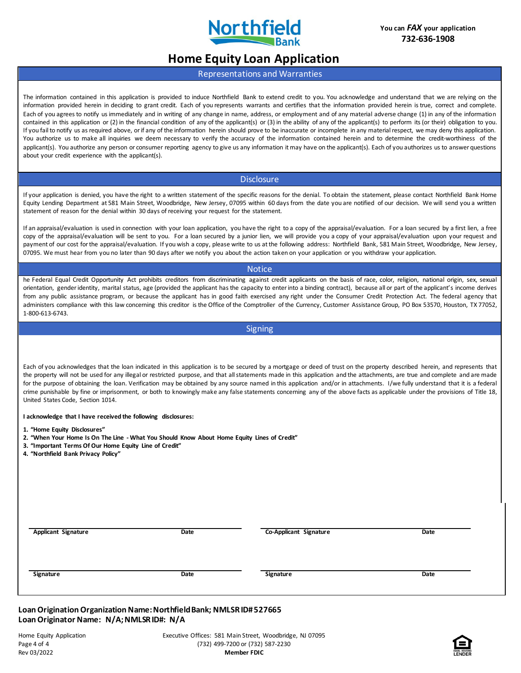

#### Representations and Warranties

The information contained in this application is provided to induce Northfield Bank to extend credit to you. You acknowledge and understand that we are relying on the information provided herein in deciding to grant credit. Each of you represents warrants and certifies that the information provided herein is true, correct and complete. Each of you agrees to notify us immediately and in writing of any change in name, address, or employment and of any material adverse change (1) in any of the information contained in this application or (2) in the financial condition of any of the applicant(s) or (3) in the ability of any of the applicant(s) to perform its (or their) obligation to you. If you fail to notify us as required above, or if any of the information herein should prove to be inaccurate or incomplete in any material respect, we may deny this application. You authorize us to make all inquiries we deem necessary to verify the accuracy of the information contained herein and to determine the credit-worthiness of the applicant(s). You authorize any person or consumer reporting agency to give us any information it may have on the applicant(s). Each of you authorizes us to answer questions about your credit experience with the applicant(s).

#### **Disclosure**

If your application is denied, you have the right to a written statement of the specific reasons for the denial. To obtain the statement, please contact Northfield Bank Home Equity Lending Department at 581 Main Street, Woodbridge, New Jersey, 07095 within 60 days from the date you are notified of our decision. We will send you a written statement of reason for the denial within 30 days of receiving your request for the statement.

If an appraisal/evaluation is used in connection with your loan application, you have the right to a copy of the appraisal/evaluation. For a loan secured by a first lien, a free copy of the appraisal/evaluation will be sent to you. For a loan secured by a junior lien, we will provide you a copy of your appraisal/evaluation upon your request and payment of our cost for the appraisal/evaluation. If you wish a copy, please write to us at the following address: Northfield Bank, 581 Main Street, Woodbridge, New Jersey, 07095. We must hear from you no later than 90 days after we notify you about the action taken on your application or you withdraw your application.

#### **Notice**

he Federal Equal Credit Opportunity Act prohibits creditors from discriminating against credit applicants on the basis of race, color, religion, national origin, sex, sexual orientation, gender identity, marital status, age (provided the applicant has the capacity to enter into a binding contract), because all or part of the applicant's income derives from any public assistance program, or because the applicant has in good faith exercised any right under the Consumer Credit Protection Act. The federal agency that administers compliance with this law concerning this creditor is the Office of the Comptroller of the Currency, Customer Assistance Group, PO Box 53570, Houston, TX 77052, 1-800-613-6743.

Signing

Each of you acknowledges that the loan indicated in this application is to be secured by a mortgage or deed of trust on the property described herein, and represents that the property will not be used for any illegal or restricted purpose, and that all statements made in this application and the attachments, are true and complete and are made for the purpose of obtaining the loan. Verification may be obtained by any source named in this application and/or in attachments. I/we fully understand that it is a federal crime punishable by fine or imprisonment, or both to knowingly make any false statements concerning any of the above facts as applicable under the provisions of Title 18, United States Code, Section 1014.

#### **I acknowledge that I have received the following disclosures:**

- **1. "Home Equity Disclosures"**
- **2. "When Your Home Is On The Line - What You Should Know About Home Equity Lines of Credit"**
- **3. "Important Terms Of Our Home Equity Line of Credit"**
- **4. "Northfield Bank Privacy Policy"**

| <b>Applicant Signature</b> | Date | Co-Applicant Signature | Date |
|----------------------------|------|------------------------|------|
|                            |      |                        |      |
| Signature                  | Date | Signature              | Date |

#### **Loan Origination Organization Name: Northfield Bank; NMLSR ID#527665 Loan Originator Name: N/A; NMLSR ID#: N/A**

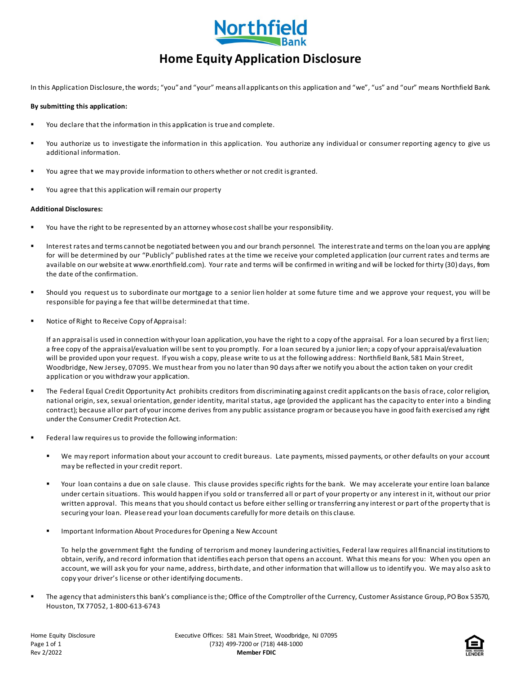

## **Home Equity Application Disclosure**

In this Application Disclosure, the words; "you" and "your" means all applicants on this application and "we", "us" and "our" means Northfield Bank.

#### **By submitting this application:**

- You declare that the information in this application is true and complete.
- You authorize us to investigate the information in this application. You authorize any individual or consumer reporting agency to give us additional information.
- You agree that we may provide information to others whether or not credit is granted.
- You agree that this application will remain our property

#### **Additional Disclosures:**

- You have the right to be represented by an attorney whose cost shall be your responsibility.
- Interest rates and terms cannot be negotiated between you and our branch personnel. The interest rate and terms on the loan you are applying for will be determined by our "Publicly" published rates at the time we receive your completed application (our current rates and terms are available on our website at www.enorthfield.com). Your rate and terms will be confirmed in writing and will be locked for thirty (30) days, from the date of the confirmation.
- Should you request us to subordinate our mortgage to a senior lien holder at some future time and we approve your request, you will be responsible for paying a fee that will be determined at that time.
- Notice of Right to Receive Copy of Appraisal:

If an appraisal is used in connection with your loan application, you have the right to a copy of the appraisal. For a loan secured by a first lien; a free copy of the appraisal/evaluation will be sent to you promptly. For a loan secured by a junior lien; a copy of your appraisal/evaluation will be provided upon your request. If you wish a copy, please write to us at the following address: Northfield Bank, 581 Main Street, Woodbridge, New Jersey, 07095. We must hear from you no later than 90 days after we notify you about the action taken on your credit application or you withdraw your application.

- The Federal Equal Credit Opportunity Act prohibits creditors from discriminating against credit applicants on the basis of race, color religion, national origin, sex, sexual orientation, gender identity, marital status, age (provided the applicant has the capacity to enter into a binding contract); because all or part of your income derives from any public assistance program or because you have in good faith exercised any right under the Consumer Credit Protection Act.
- Federal law requires us to provide the following information:
	- We may report information about your account to credit bureaus. Late payments, missed payments, or other defaults on your account may be reflected in your credit report.
	- Your loan contains a due on sale clause. This clause provides specific rights for the bank. We may accelerate your entire loan balance under certain situations. This would happen if you sold or transferred all or part of your property or any interest in it, without our prior written approval. This means that you should contact us before either selling or transferring any interest or part of the property that is securing your loan. Please read your loan documents carefully for more details on this clause.
	- Important Information About Procedures for Opening a New Account

To help the government fight the funding of terrorism and money laundering activities, Federal law requires all financial institutions to obtain, verify, and record information that identifies each person that opens an account. What this means for you: When you open an account, we will ask you for your name, address, birth date, and other information that will allow us to identify you. We may also ask to copy your driver's license or other identifying documents.

 The agency that administers this bank's compliance is the; Office of the Comptroller of the Currency, Customer Assistance Group, PO Box 53570, Houston, TX 77052, 1-800-613-6743

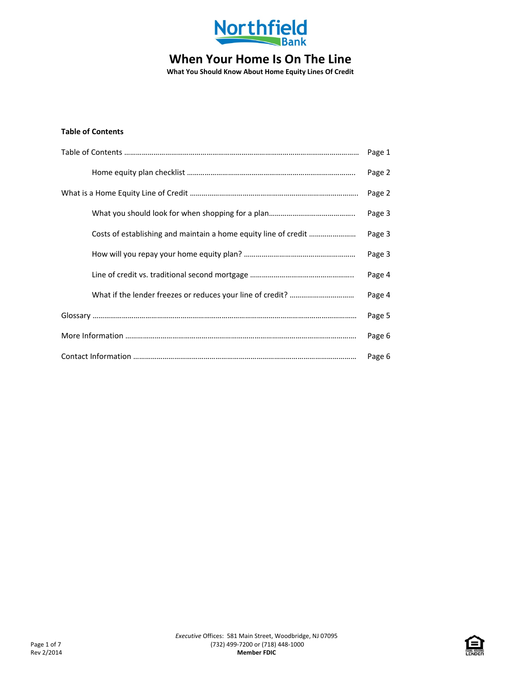

**What You Should Know About Home Equity Lines Of Credit**

#### **Table of Contents**

|  | Page 1 |
|--|--------|
|  | Page 2 |
|  | Page 2 |
|  | Page 3 |
|  | Page 3 |
|  | Page 3 |
|  | Page 4 |
|  | Page 4 |
|  | Page 5 |
|  | Page 6 |
|  | Page 6 |

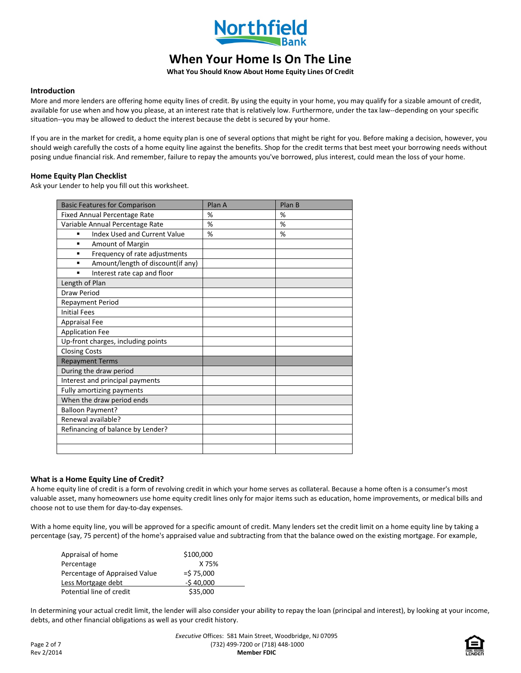

**What You Should Know About Home Equity Lines Of Credit**

#### **Introduction**

More and more lenders are offering home equity lines of credit. By using the equity in your home, you may qualify for a sizable amount of credit, available for use when and how you please, at an interest rate that is relatively low. Furthermore, under the tax law‐‐depending on your specific situation--you may be allowed to deduct the interest because the debt is secured by your home.

If you are in the market for credit, a home equity plan is one of several options that might be right for you. Before making a decision, however, you should weigh carefully the costs of a home equity line against the benefits. Shop for the credit terms that best meet your borrowing needs without posing undue financial risk. And remember, failure to repay the amounts you've borrowed, plus interest, could mean the loss of your home.

#### **Home Equity Plan Checklist**

Ask your Lender to help you fill out this worksheet.

| <b>Basic Features for Comparison</b>          | Plan A | Plan B |
|-----------------------------------------------|--------|--------|
| Fixed Annual Percentage Rate                  | %      | %      |
| Variable Annual Percentage Rate               | %      | %      |
| Index Used and Current Value                  | %      | %      |
| Amount of Margin<br>٠                         |        |        |
| Frequency of rate adjustments<br>٠            |        |        |
| Amount/length of discount(if any)<br>٠        |        |        |
| Interest rate cap and floor<br>$\blacksquare$ |        |        |
| Length of Plan                                |        |        |
| Draw Period                                   |        |        |
| <b>Repayment Period</b>                       |        |        |
| <b>Initial Fees</b>                           |        |        |
| <b>Appraisal Fee</b>                          |        |        |
| <b>Application Fee</b>                        |        |        |
| Up-front charges, including points            |        |        |
| <b>Closing Costs</b>                          |        |        |
| <b>Repayment Terms</b>                        |        |        |
| During the draw period                        |        |        |
| Interest and principal payments               |        |        |
| Fully amortizing payments                     |        |        |
| When the draw period ends                     |        |        |
| <b>Balloon Payment?</b>                       |        |        |
| Renewal available?                            |        |        |
| Refinancing of balance by Lender?             |        |        |
|                                               |        |        |
|                                               |        |        |

#### **What is a Home Equity Line of Credit?**

A home equity line of credit is a form of revolving credit in which your home serves as collateral. Because a home often is a consumer's most valuable asset, many homeowners use home equity credit lines only for major items such as education, home improvements, or medical bills and choose not to use them for day‐to‐day expenses.

With a home equity line, you will be approved for a specific amount of credit. Many lenders set the credit limit on a home equity line by taking a percentage (say, 75 percent) of the home's appraised value and subtracting from that the balance owed on the existing mortgage. For example,

| Appraisal of home             | \$100,000    |
|-------------------------------|--------------|
| Percentage                    | X 75%        |
| Percentage of Appraised Value | $=$ \$75,000 |
| Less Mortgage debt            | $-540,000$   |
| Potential line of credit      | \$35,000     |

In determining your actual credit limit, the lender will also consider your ability to repay the loan (principal and interest), by looking at your income, debts, and other financial obligations as well as your credit history.

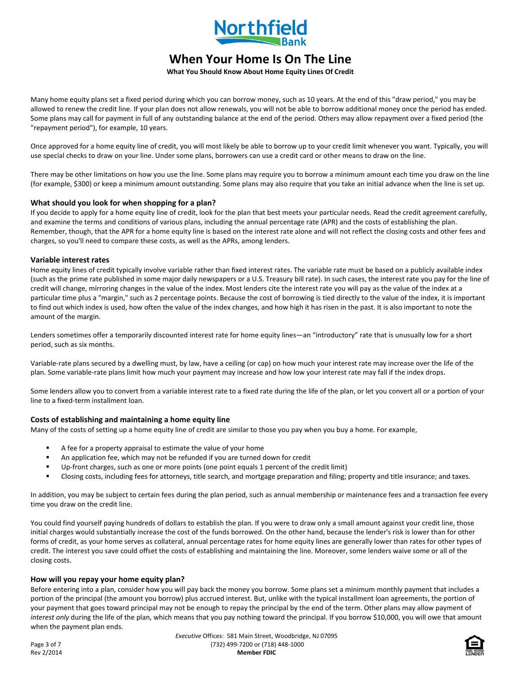

**What You Should Know About Home Equity Lines Of Credit**

Many home equity plans set a fixed period during which you can borrow money, such as 10 years. At the end of this "draw period," you may be allowed to renew the credit line. If your plan does not allow renewals, you will not be able to borrow additional money once the period has ended. Some plans may call for payment in full of any outstanding balance at the end of the period. Others may allow repayment over a fixed period (the "repayment period"), for example, 10 years.

Once approved for a home equity line of credit, you will most likely be able to borrow up to your credit limit whenever you want. Typically, you will use special checks to draw on your line. Under some plans, borrowers can use a credit card or other means to draw on the line.

There may be other limitations on how you use the line. Some plans may require you to borrow a minimum amount each time you draw on the line (for example, \$300) or keep a minimum amount outstanding. Some plans may also require that you take an initial advance when the line is set up.

#### **What should you look for when shopping for a plan?**

If you decide to apply for a home equity line of credit, look for the plan that best meets your particular needs. Read the credit agreement carefully, and examine the terms and conditions of various plans, including the annual percentage rate (APR) and the costs of establishing the plan. Remember, though, that the APR for a home equity line is based on the interest rate alone and will not reflect the closing costs and other fees and charges, so you'll need to compare these costs, as well as the APRs, among lenders.

#### **Variable interest rates**

Home equity lines of credit typically involve variable rather than fixed interest rates. The variable rate must be based on a publicly available index (such as the prime rate published in some major daily newspapers or a U.S. Treasury bill rate). In such cases, the interest rate you pay for the line of credit will change, mirroring changes in the value of the index. Most lenders cite the interest rate you will pay as the value of the index at a particular time plus a "margin," such as 2 percentage points. Because the cost of borrowing is tied directly to the value of the index, it is important to find out which index is used, how often the value of the index changes, and how high it has risen in the past. It is also important to note the amount of the margin.

Lenders sometimes offer a temporarily discounted interest rate for home equity lines—an "introductory" rate that is unusually low for a short period, such as six months.

Variable‐rate plans secured by a dwelling must, by law, have a ceiling (or cap) on how much your interest rate may increase over the life of the plan. Some variable‐rate plans limit how much your payment may increase and how low your interest rate may fall if the index drops.

Some lenders allow you to convert from a variable interest rate to a fixed rate during the life of the plan, or let you convert all or a portion of your line to a fixed‐term installment loan.

#### **Costs of establishing and maintaining a home equity line**

Many of the costs of setting up a home equity line of credit are similar to those you pay when you buy a home. For example,

- A fee for a property appraisal to estimate the value of your home
- An application fee, which may not be refunded if you are turned down for credit
- Up-front charges, such as one or more points (one point equals 1 percent of the credit limit)
- Closing costs, including fees for attorneys, title search, and mortgage preparation and filing; property and title insurance; and taxes.

In addition, you may be subject to certain fees during the plan period, such as annual membership or maintenance fees and a transaction fee every time you draw on the credit line.

You could find yourself paying hundreds of dollars to establish the plan. If you were to draw only a small amount against your credit line, those initial charges would substantially increase the cost of the funds borrowed. On the other hand, because the lender's risk is lower than for other forms of credit, as your home serves as collateral, annual percentage rates for home equity lines are generally lower than rates for other types of credit. The interest you save could offset the costs of establishing and maintaining the line. Moreover, some lenders waive some or all of the closing costs.

#### **How will you repay your home equity plan?**

Before entering into a plan, consider how you will pay back the money you borrow. Some plans set a minimum monthly payment that includes a portion of the principal (the amount you borrow) plus accrued interest. But, unlike with the typical installment loan agreements, the portion of your payment that goes toward principal may not be enough to repay the principal by the end of the term. Other plans may allow payment of *interest only* during the life of the plan, which means that you pay nothing toward the principal. If you borrow \$10,000, you will owe that amount when the payment plan ends.

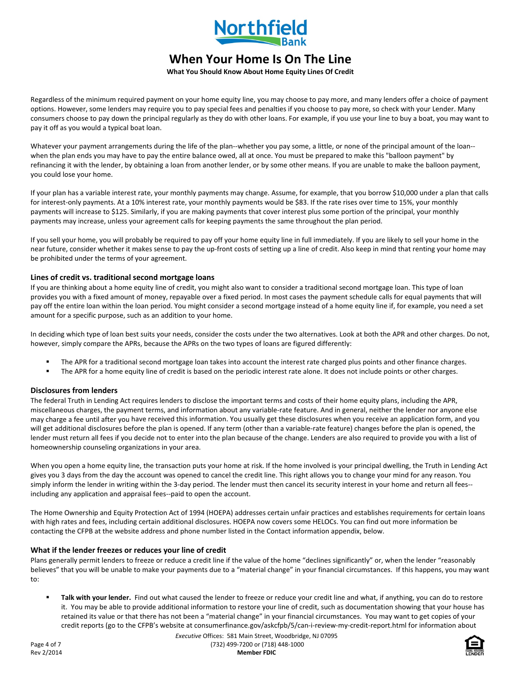

**What You Should Know About Home Equity Lines Of Credit**

Regardless of the minimum required payment on your home equity line, you may choose to pay more, and many lenders offer a choice of payment options. However, some lenders may require you to pay special fees and penalties if you choose to pay more, so check with your Lender. Many consumers choose to pay down the principal regularly as they do with other loans. For example, if you use your line to buy a boat, you may want to pay it off as you would a typical boat loan.

Whatever your payment arrangements during the life of the plan--whether you pay some, a little, or none of the principal amount of the loan-when the plan ends you may have to pay the entire balance owed, all at once. You must be prepared to make this "balloon payment" by refinancing it with the lender, by obtaining a loan from another lender, or by some other means. If you are unable to make the balloon payment, you could lose your home.

If your plan has a variable interest rate, your monthly payments may change. Assume, for example, that you borrow \$10,000 under a plan that calls for interest-only payments. At a 10% interest rate, your monthly payments would be \$83. If the rate rises over time to 15%, your monthly payments will increase to \$125. Similarly, if you are making payments that cover interest plus some portion of the principal, your monthly payments may increase, unless your agreement calls for keeping payments the same throughout the plan period.

If you sell your home, you will probably be required to pay off your home equity line in full immediately. If you are likely to sell your home in the near future, consider whether it makes sense to pay the up-front costs of setting up a line of credit. Also keep in mind that renting your home may be prohibited under the terms of your agreement.

#### **Lines of credit vs. traditional second mortgage loans**

If you are thinking about a home equity line of credit, you might also want to consider a traditional second mortgage loan. This type of loan provides you with a fixed amount of money, repayable over a fixed period. In most cases the payment schedule calls for equal payments that will pay off the entire loan within the loan period. You might consider a second mortgage instead of a home equity line if, for example, you need a set amount for a specific purpose, such as an addition to your home.

In deciding which type of loan best suits your needs, consider the costs under the two alternatives. Look at both the APR and other charges. Do not, however, simply compare the APRs, because the APRs on the two types of loans are figured differently:

- The APR for a traditional second mortgage loan takes into account the interest rate charged plus points and other finance charges.
- The APR for a home equity line of credit is based on the periodic interest rate alone. It does not include points or other charges.

#### **Disclosures from lenders**

The federal Truth in Lending Act requires lenders to disclose the important terms and costs of their home equity plans, including the APR, miscellaneous charges, the payment terms, and information about any variable‐rate feature. And in general, neither the lender nor anyone else may charge a fee until after you have received this information. You usually get these disclosures when you receive an application form, and you will get additional disclosures before the plan is opened. If any term (other than a variable-rate feature) changes before the plan is opened, the lender must return all fees if you decide not to enter into the plan because of the change. Lenders are also required to provide you with a list of homeownership counseling organizations in your area.

When you open a home equity line, the transaction puts your home at risk. If the home involved is your principal dwelling, the Truth in Lending Act gives you 3 days from the day the account was opened to cancel the credit line. This right allows you to change your mind for any reason. You simply inform the lender in writing within the 3-day period. The lender must then cancel its security interest in your home and return all fees-including any application and appraisal fees‐‐paid to open the account.

The Home Ownership and Equity Protection Act of 1994 (HOEPA) addresses certain unfair practices and establishes requirements for certain loans with high rates and fees, including certain additional disclosures. HOEPA now covers some HELOCs. You can find out more information be contacting the CFPB at the website address and phone number listed in the Contact information appendix, below.

#### **What if the lender freezes or reduces your line of credit**

Plans generally permit lenders to freeze or reduce a credit line if the value of the home "declines significantly" or, when the lender "reasonably believes" that you will be unable to make your payments due to a "material change" in your financial circumstances. If this happens, you may want to:

 **Talk with your lender.** Find out what caused the lender to freeze or reduce your credit line and what, if anything, you can do to restore it. You may be able to provide additional information to restore your line of credit, such as documentation showing that your house has retained its value or that there has not been a "material change" in your financial circumstances. You may want to get copies of your credit reports (go to the CFPB's website at consumerfinance.gov/askcfpb/5/can-i-review-my-credit-report.html for information about

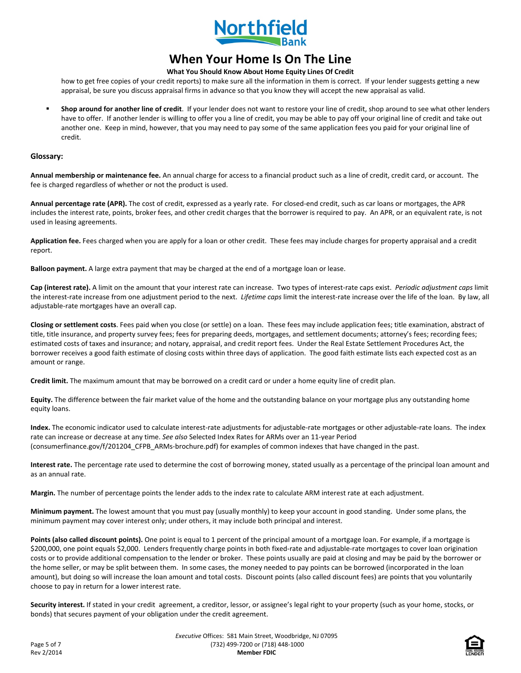

#### **What You Should Know About Home Equity Lines Of Credit**

how to get free copies of your credit reports) to make sure all the information in them is correct. If your lender suggests getting a new appraisal, be sure you discuss appraisal firms in advance so that you know they will accept the new appraisal as valid.

 **Shop around for another line of credit**. If your lender does not want to restore your line of credit, shop around to see what other lenders have to offer. If another lender is willing to offer you a line of credit, you may be able to pay off your original line of credit and take out another one. Keep in mind, however, that you may need to pay some of the same application fees you paid for your original line of credit.

#### **Glossary:**

**Annual membership or maintenance fee.** An annual charge for access to a financial product such as a line of credit, credit card, or account. The fee is charged regardless of whether or not the product is used.

**Annual percentage rate (APR).** The cost of credit, expressed as a yearly rate. For closed‐end credit, such as car loans or mortgages, the APR includes the interest rate, points, broker fees, and other credit charges that the borrower is required to pay. An APR, or an equivalent rate, is not used in leasing agreements.

**Application fee.** Fees charged when you are apply for a loan or other credit. These fees may include charges for property appraisal and a credit report.

**Balloon payment.** A large extra payment that may be charged at the end of a mortgage loan or lease.

Cap (interest rate). A limit on the amount that your interest rate can increase. Two types of interest-rate caps exist. *Periodic adjustment caps* limit the interest-rate increase from one adjustment period to the next. Lifetime caps limit the interest-rate increase over the life of the loan. By law, all adjustable‐rate mortgages have an overall cap.

**Closing or settlement costs**. Fees paid when you close (or settle) on a loan. These fees may include application fees; title examination, abstract of title, title insurance, and property survey fees; fees for preparing deeds, mortgages, and settlement documents; attorney's fees; recording fees; estimated costs of taxes and insurance; and notary, appraisal, and credit report fees. Under the Real Estate Settlement Procedures Act, the borrower receives a good faith estimate of closing costs within three days of application. The good faith estimate lists each expected cost as an amount or range.

**Credit limit.** The maximum amount that may be borrowed on a credit card or under a home equity line of credit plan.

**Equity.** The difference between the fair market value of the home and the outstanding balance on your mortgage plus any outstanding home equity loans.

Index. The economic indicator used to calculate interest-rate adjustments for adjustable-rate mortgages or other adjustable-rate loans. The index rate can increase or decrease at any time. *See also* Selected Index Rates for ARMs over an 11‐year Period (consumerfinance.gov/f/201204\_CFPB\_ARMs‐brochure.pdf) for examples of common indexes that have changed in the past.

**Interest rate.** The percentage rate used to determine the cost of borrowing money, stated usually as a percentage of the principal loan amount and as an annual rate.

**Margin.** The number of percentage points the lender adds to the index rate to calculate ARM interest rate at each adjustment.

**Minimum payment.** The lowest amount that you must pay (usually monthly) to keep your account in good standing. Under some plans, the minimum payment may cover interest only; under others, it may include both principal and interest.

**Points (also called discount points).** One point is equal to 1 percent of the principal amount of a mortgage loan. For example, if a mortgage is \$200,000, one point equals \$2,000. Lenders frequently charge points in both fixed-rate and adjustable-rate mortgages to cover loan origination costs or to provide additional compensation to the lender or broker. These points usually are paid at closing and may be paid by the borrower or the home seller, or may be split between them. In some cases, the money needed to pay points can be borrowed (incorporated in the loan amount), but doing so will increase the loan amount and total costs. Discount points (also called discount fees) are points that you voluntarily choose to pay in return for a lower interest rate.

**Security interest.** If stated in your credit agreement, a creditor, lessor, or assignee's legal right to your property (such as your home, stocks, or bonds) that secures payment of your obligation under the credit agreement.

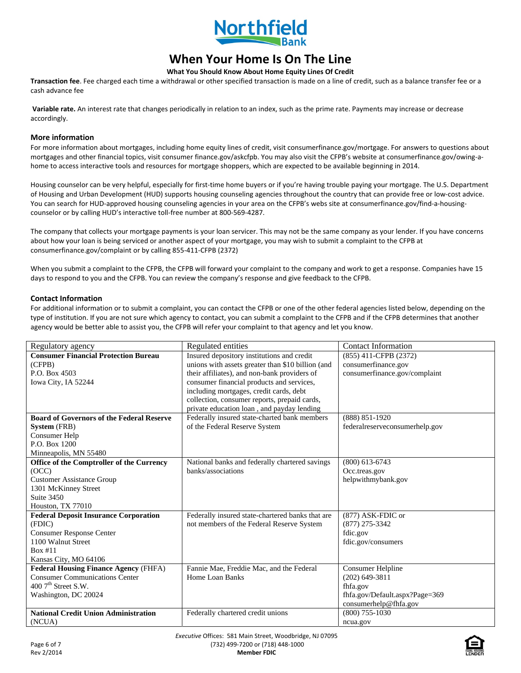

#### **What You Should Know About Home Equity Lines Of Credit**

**Transaction fee**. Fee charged each time a withdrawal or other specified transaction is made on a line of credit, such as a balance transfer fee or a cash advance fee

**Variable rate.** An interest rate that changes periodically in relation to an index, such as the prime rate. Payments may increase or decrease accordingly.

#### **More information**

For more information about mortgages, including home equity lines of credit, visit consumerfinance.gov/mortgage. For answers to questions about mortgages and other financial topics, visit consumer finance.gov/askcfpb. You may also visit the CFPB's website at consumerfinance.gov/owing-ahome to access interactive tools and resources for mortgage shoppers, which are expected to be available beginning in 2014.

Housing counselor can be very helpful, especially for first-time home buyers or if you're having trouble paying your mortgage. The U.S. Department of Housing and Urban Development (HUD) supports housing counseling agencies throughout the country that can provide free or low‐cost advice. You can search for HUD‐approved housing counseling agencies in your area on the CFPB's webs site at consumerfinance.gov/find‐a‐housing‐ counselor or by calling HUD's interactive toll‐free number at 800‐569‐4287.

The company that collects your mortgage payments is your loan servicer. This may not be the same company as your lender. If you have concerns about how your loan is being serviced or another aspect of your mortgage, you may wish to submit a complaint to the CFPB at consumerfinance.gov/complaint or by calling 855‐411‐CFPB (2372)

When you submit a complaint to the CFPB, the CFPB will forward your complaint to the company and work to get a response. Companies have 15 days to respond to you and the CFPB. You can review the company's response and give feedback to the CFPB.

#### **Contact Information**

For additional information or to submit a complaint, you can contact the CFPB or one of the other federal agencies listed below, depending on the type of institution. If you are not sure which agency to contact, you can submit a complaint to the CFPB and if the CFPB determines that another agency would be better able to assist you, the CFPB will refer your complaint to that agency and let you know.

| Regulatory agency                                | Regulated entities                                | <b>Contact Information</b>     |
|--------------------------------------------------|---------------------------------------------------|--------------------------------|
| <b>Consumer Financial Protection Bureau</b>      | Insured depository institutions and credit        | (855) 411-CFPB (2372)          |
| (CFPB)                                           | unions with assets greater than \$10 billion (and | consumerfinance.gov            |
| P.O. Box 4503                                    | their affiliates), and non-bank providers of      | consumerfinance.gov/complaint  |
| Iowa City, IA 52244                              | consumer financial products and services,         |                                |
|                                                  | including mortgages, credit cards, debt           |                                |
|                                                  | collection, consumer reports, prepaid cards,      |                                |
|                                                  | private education loan, and payday lending        |                                |
| <b>Board of Governors of the Federal Reserve</b> | Federally insured state-charted bank members      | (888) 851-1920                 |
| System (FRB)                                     | of the Federal Reserve System                     | federalreserveconsumerhelp.gov |
| Consumer Help                                    |                                                   |                                |
| P.O. Box 1200                                    |                                                   |                                |
| Minneapolis, MN 55480                            |                                                   |                                |
| Office of the Comptroller of the Currency        | National banks and federally chartered savings    | $(800)$ 613-6743               |
| (OCC)                                            | banks/associations                                | Occ.treas.gov                  |
| <b>Customer Assistance Group</b>                 |                                                   | helpwithmybank.gov             |
| 1301 McKinney Street                             |                                                   |                                |
| Suite 3450                                       |                                                   |                                |
| Houston, TX 77010                                |                                                   |                                |
| <b>Federal Deposit Insurance Corporation</b>     | Federally insured state-chartered banks that are  | (877) ASK-FDIC or              |
| (FDIC)                                           | not members of the Federal Reserve System         | $(877)$ 275-3342               |
| <b>Consumer Response Center</b>                  |                                                   | fdic.gov                       |
| 1100 Walnut Street                               |                                                   | fdic.gov/consumers             |
| Box #11                                          |                                                   |                                |
| Kansas City, MO 64106                            |                                                   |                                |
| <b>Federal Housing Finance Agency (FHFA)</b>     | Fannie Mae, Freddie Mac, and the Federal          | <b>Consumer Helpline</b>       |
| <b>Consumer Communications Center</b>            | Home Loan Banks                                   | $(202)$ 649-3811               |
| 400 7 <sup>th</sup> Street S.W.                  |                                                   | fhfa.gov                       |
| Washington, DC 20024                             |                                                   | fhfa.gov/Default.aspx?Page=369 |
|                                                  |                                                   | consumerhelp@fhfa.gov          |
| <b>National Credit Union Administration</b>      | Federally chartered credit unions                 | $(800)$ 755-1030               |
| (NCUA)                                           |                                                   | ncua.gov                       |

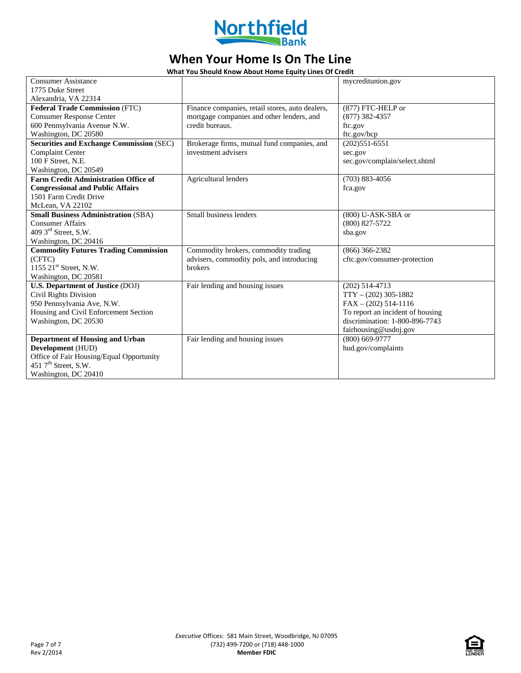

**What You Should Know About Home Equity Lines Of Credit**

| <b>Consumer Assistance</b>                      |                                                 | mycreditunion.gov                |
|-------------------------------------------------|-------------------------------------------------|----------------------------------|
| 1775 Duke Street                                |                                                 |                                  |
| Alexandria, VA 22314                            |                                                 |                                  |
| <b>Federal Trade Commission (FTC)</b>           | Finance companies, retail stores, auto dealers, | (877) FTC-HELP or                |
| <b>Consumer Response Center</b>                 | mortgage companies and other lenders, and       | $(877)$ 382-4357                 |
| 600 Pennsylvania Avenue N.W.                    | credit bureaus.                                 | ftc.gov                          |
| Washington, DC 20580                            |                                                 | ftc.gov/bcp                      |
| <b>Securities and Exchange Commission (SEC)</b> | Brokerage firms, mutual fund companies, and     | $(202)551-6551$                  |
| <b>Complaint Center</b>                         | investment advisers                             | sec.gov                          |
| 100 F Street, N.E.                              |                                                 | sec.gov/complain/select.shtml    |
| Washington, DC 20549                            |                                                 |                                  |
| <b>Farm Credit Administration Office of</b>     | Agricultural lenders                            | $(703) 883 - 4056$               |
| <b>Congressional and Public Affairs</b>         |                                                 | fca.gov                          |
| 1501 Farm Credit Drive                          |                                                 |                                  |
| McLean, VA 22102                                |                                                 |                                  |
| <b>Small Business Administration (SBA)</b>      | Small business lenders                          | (800) U-ASK-SBA or               |
| <b>Consumer Affairs</b>                         |                                                 | $(800)$ 827-5722                 |
| 409 $3rd$ Street, S.W.                          |                                                 | sba.gov                          |
| Washington, DC 20416                            |                                                 |                                  |
| <b>Commodity Futures Trading Commission</b>     | Commodity brokers, commodity trading            | $(866)$ 366-2382                 |
| (CFTC)                                          | advisers, commodity pols, and introducing       | cftc.gov/consumer-protection     |
| 1155 21 <sup>st</sup> Street, N.W.              | brokers                                         |                                  |
| Washington, DC 20581                            |                                                 |                                  |
| <b>U.S. Department of Justice (DOJ)</b>         | Fair lending and housing issues                 | $(202)$ 514-4713                 |
| Civil Rights Division                           |                                                 | $TTY - (202)$ 305-1882           |
| 950 Pennsylvania Ave, N.W.                      |                                                 | $FAX - (202) 514-1116$           |
| Housing and Civil Enforcement Section           |                                                 | To report an incident of housing |
| Washington, DC 20530                            |                                                 | discrimination: 1-800-896-7743   |
|                                                 |                                                 | fairhousing@usdoj.gov            |
| <b>Department of Housing and Urban</b>          | Fair lending and housing issues                 | $(800)$ 669-9777                 |
| Development (HUD)                               |                                                 | hud.gov/complaints               |
| Office of Fair Housing/Equal Opportunity        |                                                 |                                  |
| 451 $7th$ Street, S.W.                          |                                                 |                                  |
| Washington, DC 20410                            |                                                 |                                  |

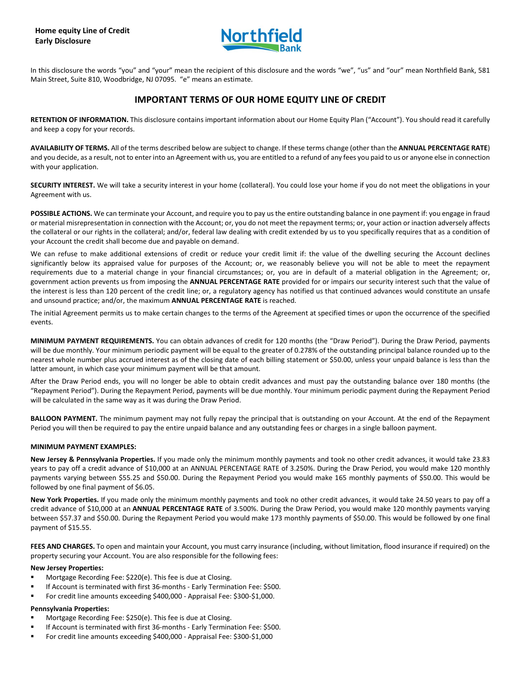

In this disclosure the words "you" and "your" mean the recipient of this disclosure and the words "we", "us" and "our" mean Northfield Bank, 581 Main Street, Suite 810, Woodbridge, NJ 07095. "e" means an estimate.

#### **IMPORTANT TERMS OF OUR HOME EQUITY LINE OF CREDIT**

**RETENTION OF INFORMATION.** This disclosure contains important information about our Home Equity Plan ("Account"). You should read it carefully and keep a copy for your records.

**AVAILABILITY OF TERMS.** All of the terms described below are subject to change. If these terms change (other than the **ANNUAL PERCENTAGE RATE**) and you decide, as a result, not to enter into an Agreement with us, you are entitled to a refund of any fees you paid to us or anyone else in connection with your application.

**SECURITY INTEREST.** We will take a security interest in your home (collateral). You could lose your home if you do not meet the obligations in your Agreement with us.

**POSSIBLE ACTIONS.** We can terminate your Account, and require you to pay us the entire outstanding balance in one payment if: you engage in fraud or material misrepresentation in connection with the Account; or, you do not meet the repayment terms; or, your action or inaction adversely affects the collateral or our rights in the collateral; and/or, federal law dealing with credit extended by us to you specifically requires that as a condition of your Account the credit shall become due and payable on demand.

We can refuse to make additional extensions of credit or reduce your credit limit if: the value of the dwelling securing the Account declines significantly below its appraised value for purposes of the Account; or, we reasonably believe you will not be able to meet the repayment requirements due to a material change in your financial circumstances; or, you are in default of a material obligation in the Agreement; or, government action prevents us from imposing the **ANNUAL PERCENTAGE RATE** provided for or impairs our security interest such that the value of the interest is less than 120 percent of the credit line; or, a regulatory agency has notified us that continued advances would constitute an unsafe and unsound practice; and/or, the maximum **ANNUAL PERCENTAGE RATE** is reached.

The initial Agreement permits us to make certain changes to the terms of the Agreement at specified times or upon the occurrence of the specified events.

**MINIMUM PAYMENT REQUIREMENTS.** You can obtain advances of credit for 120 months (the "Draw Period"). During the Draw Period, payments will be due monthly. Your minimum periodic payment will be equal to the greater of 0.278% of the outstanding principal balance rounded up to the nearest whole number plus accrued interest as of the closing date of each billing statement or \$50.00, unless your unpaid balance is less than the latter amount, in which case your minimum payment will be that amount.

After the Draw Period ends, you will no longer be able to obtain credit advances and must pay the outstanding balance over 180 months (the "Repayment Period"). During the Repayment Period, payments will be due monthly. Your minimum periodic payment during the Repayment Period will be calculated in the same way as it was during the Draw Period.

**BALLOON PAYMENT.** The minimum payment may not fully repay the principal that is outstanding on your Account. At the end of the Repayment Period you will then be required to pay the entire unpaid balance and any outstanding fees or charges in a single balloon payment.

#### **MINIMUM PAYMENT EXAMPLES:**

**New Jersey & Pennsylvania Properties.** If you made only the minimum monthly payments and took no other credit advances, it would take 23.83 years to pay off a credit advance of \$10,000 at an ANNUAL PERCENTAGE RATE of 3.250%. During the Draw Period, you would make 120 monthly payments varying between \$55.25 and \$50.00. During the Repayment Period you would make 165 monthly payments of \$50.00. This would be followed by one final payment of \$6.05.

**New York Properties.** If you made only the minimum monthly payments and took no other credit advances, it would take 24.50 years to pay off a credit advance of \$10,000 at an **ANNUAL PERCENTAGE RATE** of 3.500%. During the Draw Period, you would make 120 monthly payments varying between \$57.37 and \$50.00. During the Repayment Period you would make 173 monthly payments of \$50.00. This would be followed by one final payment of \$15.55.

**FEES AND CHARGES.** To open and maintain your Account, you must carry insurance (including, without limitation, flood insurance if required) on the property securing your Account. You are also responsible for the following fees:

#### **New Jersey Properties:**

- Mortgage Recording Fee: \$220(e). This fee is due at Closing.
- If Account is terminated with first 36-months Early Termination Fee: \$500.
- For credit line amounts exceeding \$400,000 Appraisal Fee: \$300-\$1,000.

#### **Pennsylvania Properties:**

- Mortgage Recording Fee: \$250(e). This fee is due at Closing.
- If Account is terminated with first 36-months Early Termination Fee: \$500.
- For credit line amounts exceeding \$400,000 Appraisal Fee: \$300-\$1,000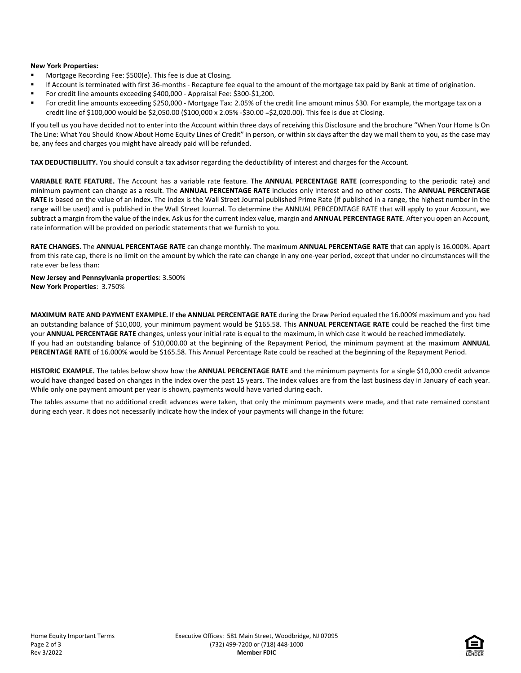#### **New York Properties:**

- Mortgage Recording Fee: \$500(e). This fee is due at Closing.
- If Account is terminated with first 36-months Recapture fee equal to the amount of the mortgage tax paid by Bank at time of origination.
- For credit line amounts exceeding \$400,000 Appraisal Fee: \$300-\$1,200.
- For credit line amounts exceeding \$250,000 Mortgage Tax: 2.05% of the credit line amount minus \$30. For example, the mortgage tax on a credit line of \$100,000 would be \$2,050.00 (\$100,000 x 2.05% -\$30.00 =\$2,020.00). This fee is due at Closing.

If you tell us you have decided not to enter into the Account within three days of receiving this Disclosure and the brochure "When Your Home Is On The Line: What You Should Know About Home Equity Lines of Credit" in person, or within six days after the day we mail them to you, as the case may be, any fees and charges you might have already paid will be refunded.

**TAX DEDUCTIBLILITY.** You should consult a tax advisor regarding the deductibility of interest and charges for the Account.

**VARIABLE RATE FEATURE.** The Account has a variable rate feature. The **ANNUAL PERCENTAGE RATE** (corresponding to the periodic rate) and minimum payment can change as a result. The **ANNUAL PERCENTAGE RATE** includes only interest and no other costs. The **ANNUAL PERCENTAGE RATE** is based on the value of an index. The index is the Wall Street Journal published Prime Rate (if published in a range, the highest number in the range will be used) and is published in the Wall Street Journal. To determine the ANNUAL PERCEDNTAGE RATE that will apply to your Account, we subtract a margin from the value of the index. Ask us for the current index value, margin and **ANNUAL PERCENTAGE RATE**. After you open an Account, rate information will be provided on periodic statements that we furnish to you.

**RATE CHANGES.** The **ANNUAL PERCENTAGE RATE** can change monthly. The maximum **ANNUAL PERCENTAGE RATE** that can apply is 16.000%. Apart from this rate cap, there is no limit on the amount by which the rate can change in any one-year period, except that under no circumstances will the rate ever be less than:

**New Jersey and Pennsylvania properties**: 3.500% **New York Properties**: 3.750%

**MAXIMUM RATE AND PAYMENT EXAMPLE.** If **the ANNUAL PERCENTAGE RATE** during the Draw Period equaled the 16.000% maximum and you had an outstanding balance of \$10,000, your minimum payment would be \$165.58. This **ANNUAL PERCENTAGE RATE** could be reached the first time your **ANNUAL PERCENTAGE RATE** changes, unless your initial rate is equal to the maximum, in which case it would be reached immediately. If you had an outstanding balance of \$10,000.00 at the beginning of the Repayment Period, the minimum payment at the maximum **ANNUAL PERCENTAGE RATE** of 16.000% would be \$165.58. This Annual Percentage Rate could be reached at the beginning of the Repayment Period.

**HISTORIC EXAMPLE.** The tables below show how the **ANNUAL PERCENTAGE RATE** and the minimum payments for a single \$10,000 credit advance would have changed based on changes in the index over the past 15 years. The index values are from the last business day in January of each year. While only one payment amount per year is shown, payments would have varied during each.

The tables assume that no additional credit advances were taken, that only the minimum payments were made, and that rate remained constant during each year. It does not necessarily indicate how the index of your payments will change in the future:

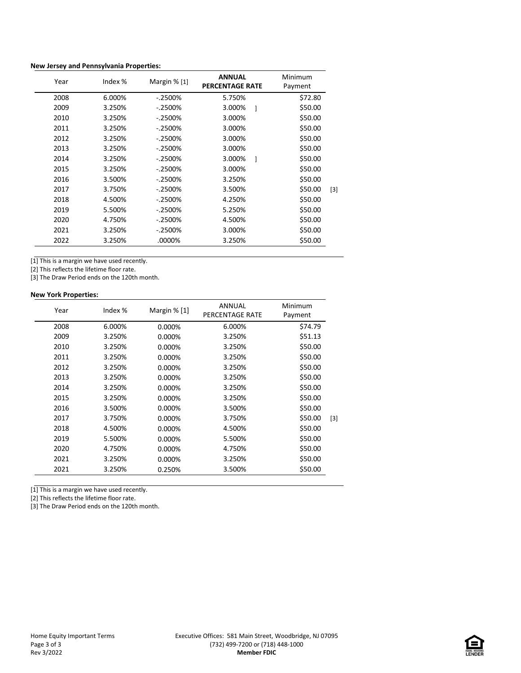#### **New Jersey and Pennsylvania Properties:**

| Year | Index % | Margin % [1] | <b>ANNUAL</b><br><b>PERCENTAGE RATE</b> | Minimum<br>Payment |
|------|---------|--------------|-----------------------------------------|--------------------|
| 2008 | 6.000%  | $-.2500\%$   | 5.750%                                  | \$72.80            |
| 2009 | 3.250%  | $-.2500%$    | 3.000%                                  | \$50.00            |
| 2010 | 3.250%  | $-.2500%$    | 3.000%                                  | \$50.00            |
| 2011 | 3.250%  | $-.2500%$    | 3.000%                                  | \$50.00            |
| 2012 | 3.250%  | $-.2500%$    | 3.000%                                  | \$50.00            |
| 2013 | 3.250%  | $-.2500%$    | 3.000%                                  | \$50.00            |
| 2014 | 3.250%  | $-.2500%$    | 3.000%                                  | \$50.00            |
| 2015 | 3.250%  | $-.2500%$    | 3.000%                                  | \$50.00            |
| 2016 | 3.500%  | $-.2500%$    | 3.250%                                  | \$50.00            |
| 2017 | 3.750%  | $-.2500%$    | 3.500%                                  | \$50.00<br>[3]     |
| 2018 | 4.500%  | $-.2500%$    | 4.250%                                  | \$50.00            |
| 2019 | 5.500%  | $-.2500\%$   | 5.250%                                  | \$50.00            |
| 2020 | 4.750%  | $-.2500%$    | 4.500%                                  | \$50.00            |
| 2021 | 3.250%  | $-.2500%$    | 3.000%                                  | \$50.00            |
| 2022 | 3.250%  | .0000%       | 3.250%                                  | \$50.00            |

[1] This is a margin we have used recently.

[2] This reflects the lifetime floor rate.

[3] The Draw Period ends on the 120th month.

#### **New York Properties:**

| Year | Index % | Margin % [1] | ANNUAL<br>PERCENTAGE RATE | Minimum<br>Payment |       |
|------|---------|--------------|---------------------------|--------------------|-------|
| 2008 | 6.000%  | 0.000%       | 6.000%                    | \$74.79            |       |
| 2009 | 3.250%  | 0.000%       | 3.250%                    | \$51.13            |       |
| 2010 | 3.250%  | 0.000%       | 3.250%                    | \$50.00            |       |
| 2011 | 3.250%  | 0.000%       | 3.250%                    | \$50.00            |       |
| 2012 | 3.250%  | 0.000%       | 3.250%                    | \$50.00            |       |
| 2013 | 3.250%  | 0.000%       | 3.250%                    | \$50.00            |       |
| 2014 | 3.250%  | 0.000%       | 3.250%                    | \$50.00            |       |
| 2015 | 3.250%  | 0.000%       | 3.250%                    | \$50.00            |       |
| 2016 | 3.500%  | 0.000%       | 3.500%                    | \$50.00            |       |
| 2017 | 3.750%  | 0.000%       | 3.750%                    | \$50.00            | $[3]$ |
| 2018 | 4.500%  | 0.000%       | 4.500%                    | \$50.00            |       |
| 2019 | 5.500%  | 0.000%       | 5.500%                    | \$50.00            |       |
| 2020 | 4.750%  | 0.000%       | 4.750%                    | \$50.00            |       |
| 2021 | 3.250%  | 0.000%       | 3.250%                    | \$50.00            |       |
| 2021 | 3.250%  | 0.250%       | 3.500%                    | \$50.00            |       |
|      |         |              |                           |                    |       |

[1] This is a margin we have used recently.

[2] This reflects the lifetime floor rate.

[3] The Draw Period ends on the 120th month.

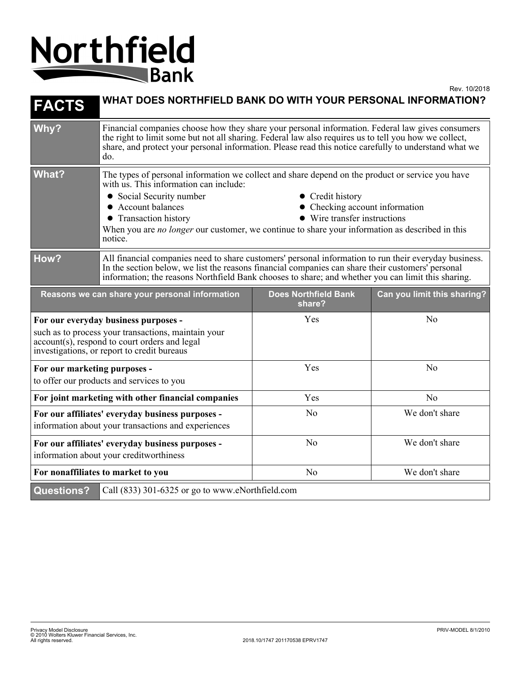# Northfield<br>Bank

| <b>FACTS</b>                                                                                                                                                                                                            | WHAT DOES NORTHFIELD BANK DO WITH YOUR PERSONAL INFORMATION?                                                                                                                                                                                                                                                                                                                                                              |                                       |                             |  |  |
|-------------------------------------------------------------------------------------------------------------------------------------------------------------------------------------------------------------------------|---------------------------------------------------------------------------------------------------------------------------------------------------------------------------------------------------------------------------------------------------------------------------------------------------------------------------------------------------------------------------------------------------------------------------|---------------------------------------|-----------------------------|--|--|
| Why?                                                                                                                                                                                                                    | Financial companies choose how they share your personal information. Federal law gives consumers<br>the right to limit some but not all sharing. Federal law also requires us to tell you how we collect,<br>share, and protect your personal information. Please read this notice carefully to understand what we<br>do.                                                                                                 |                                       |                             |  |  |
| <b>What?</b>                                                                                                                                                                                                            | The types of personal information we collect and share depend on the product or service you have<br>with us. This information can include:<br>• Social Security number<br>• Credit history<br>• Account balances<br>• Checking account information<br>• Wire transfer instructions<br>• Transaction history<br>When you are no longer our customer, we continue to share your information as described in this<br>notice. |                                       |                             |  |  |
| How?                                                                                                                                                                                                                    | All financial companies need to share customers' personal information to run their everyday business.<br>In the section below, we list the reasons financial companies can share their customers' personal<br>information; the reasons Northfield Bank chooses to share; and whether you can limit this sharing.                                                                                                          |                                       |                             |  |  |
|                                                                                                                                                                                                                         | Reasons we can share your personal information                                                                                                                                                                                                                                                                                                                                                                            | <b>Does Northfield Bank</b><br>share? | Can you limit this sharing? |  |  |
| Yes<br>N <sub>0</sub><br>For our everyday business purposes -<br>such as to process your transactions, maintain your<br>$account(s)$ , respond to court orders and legal<br>investigations, or report to credit bureaus |                                                                                                                                                                                                                                                                                                                                                                                                                           |                                       |                             |  |  |
|                                                                                                                                                                                                                         | Yes<br>No<br>For our marketing purposes -<br>to offer our products and services to you                                                                                                                                                                                                                                                                                                                                    |                                       |                             |  |  |
|                                                                                                                                                                                                                         | For joint marketing with other financial companies                                                                                                                                                                                                                                                                                                                                                                        | Yes                                   | N <sub>o</sub>              |  |  |
|                                                                                                                                                                                                                         | No<br>We don't share<br>For our affiliates' everyday business purposes -<br>information about your transactions and experiences                                                                                                                                                                                                                                                                                           |                                       |                             |  |  |
|                                                                                                                                                                                                                         | N <sub>o</sub><br>We don't share<br>For our affiliates' everyday business purposes -<br>information about your creditworthiness                                                                                                                                                                                                                                                                                           |                                       |                             |  |  |
|                                                                                                                                                                                                                         | For nonaffiliates to market to you                                                                                                                                                                                                                                                                                                                                                                                        | No                                    | We don't share              |  |  |
| <b>Questions?</b>                                                                                                                                                                                                       | Call (833) 301-6325 or go to www.eNorthfield.com                                                                                                                                                                                                                                                                                                                                                                          |                                       |                             |  |  |